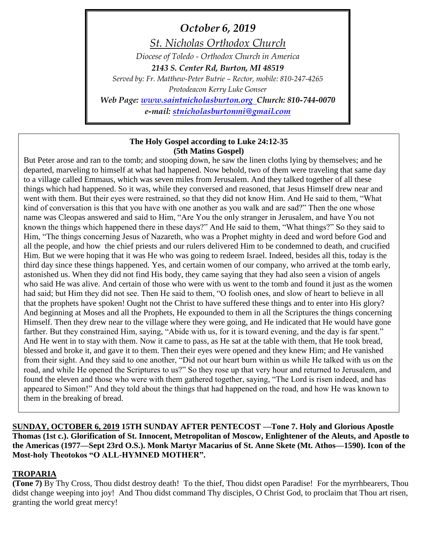*October 6, 2019*

*St. Nicholas Orthodox Church*

*Diocese of Toledo - Orthodox Church in America 2143 S. Center Rd, Burton, MI 48519*

*Served by: Fr. Matthew-Peter Butrie – Rector, mobile: 810-247-4265 Protodeacon Kerry Luke Gonser*

*Web Page: [www.saintnicholasburton.org](http://www.saintnicholasburton.org/) Church: 810-744-0070 e-mail: [stnicholasburtonmi@gmail.com](mailto:stnicholasburtonmi@gmail.com)*

#### **The Holy Gospel according to Luke 24:12-35 (5th Matins Gospel)**

But Peter arose and ran to the tomb; and stooping down, he saw the linen cloths lying by themselves; and he departed, marveling to himself at what had happened. Now behold, two of them were traveling that same day to a village called Emmaus, which was seven miles from Jerusalem. And they talked together of all these things which had happened. So it was, while they conversed and reasoned, that Jesus Himself drew near and went with them. But their eyes were restrained, so that they did not know Him. And He said to them, "What kind of conversation is this that you have with one another as you walk and are sad?" Then the one whose name was Cleopas answered and said to Him, "Are You the only stranger in Jerusalem, and have You not known the things which happened there in these days?" And He said to them, "What things?" So they said to Him, "The things concerning Jesus of Nazareth, who was a Prophet mighty in deed and word before God and all the people, and how the chief priests and our rulers delivered Him to be condemned to death, and crucified Him. But we were hoping that it was He who was going to redeem Israel. Indeed, besides all this, today is the third day since these things happened. Yes, and certain women of our company, who arrived at the tomb early, astonished us. When they did not find His body, they came saying that they had also seen a vision of angels who said He was alive. And certain of those who were with us went to the tomb and found it just as the women had said; but Him they did not see. Then He said to them, "O foolish ones, and slow of heart to believe in all that the prophets have spoken! Ought not the Christ to have suffered these things and to enter into His glory? And beginning at Moses and all the Prophets, He expounded to them in all the Scriptures the things concerning Himself. Then they drew near to the village where they were going, and He indicated that He would have gone farther. But they constrained Him, saying, "Abide with us, for it is toward evening, and the day is far spent." And He went in to stay with them. Now it came to pass, as He sat at the table with them, that He took bread, blessed and broke it, and gave it to them. Then their eyes were opened and they knew Him; and He vanished from their sight. And they said to one another, "Did not our heart burn within us while He talked with us on the road, and while He opened the Scriptures to us?" So they rose up that very hour and returned to Jerusalem, and found the eleven and those who were with them gathered together, saying, "The Lord is risen indeed, and has appeared to Simon!" And they told about the things that had happened on the road, and how He was known to them in the breaking of bread.

**SUNDAY, OCTOBER 6, 2019 15TH SUNDAY AFTER PENTECOST —Tone 7. Holy and Glorious Apostle Thomas (1st c.). Glorification of St. Innocent, Metropolitan of Moscow, Enlightener of the Aleuts, and Apostle to the Americas (1977—Sept 23rd O.S.). Monk Martyr Macarius of St. Anne Skete (Mt. Athos—1590). Icon of the Most-holy Theotokos "O ALL-HYMNED MOTHER".**

#### **TROPARIA**

**(Tone 7)** By Thy Cross, Thou didst destroy death! To the thief, Thou didst open Paradise! For the myrrhbearers, Thou didst change weeping into joy! And Thou didst command Thy disciples, O Christ God, to proclaim that Thou art risen, granting the world great mercy!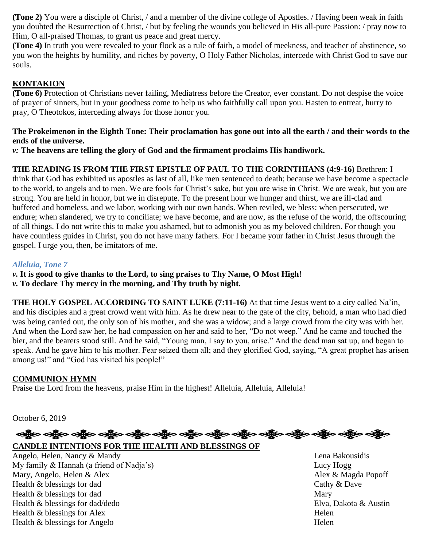**(Tone 2)** You were a disciple of Christ, / and a member of the divine college of Apostles. / Having been weak in faith you doubted the Resurrection of Christ, / but by feeling the wounds you believed in His all-pure Passion: / pray now to Him, O all-praised Thomas, to grant us peace and great mercy.

**(Tone 4)** In truth you were revealed to your flock as a rule of faith, a model of meekness, and teacher of abstinence, so you won the heights by humility, and riches by poverty, O Holy Father Nicholas, intercede with Christ God to save our souls.

#### **KONTAKION**

**(Tone 6)** Protection of Christians never failing, Mediatress before the Creator, ever constant. Do not despise the voice of prayer of sinners, but in your goodness come to help us who faithfully call upon you. Hasten to entreat, hurry to pray, O Theotokos, interceding always for those honor you.

#### **The Prokeimenon in the Eighth Tone: Their proclamation has gone out into all the earth / and their words to the ends of the universe.**

*v:* **The heavens are telling the glory of God and the firmament proclaims His handiwork.**

#### **THE READING IS FROM THE FIRST EPISTLE OF PAUL TO THE CORINTHIANS (4:9-16)** Brethren: I

think that God has exhibited us apostles as last of all, like men sentenced to death; because we have become a spectacle to the world, to angels and to men. We are fools for Christ's sake, but you are wise in Christ. We are weak, but you are strong. You are held in honor, but we in disrepute. To the present hour we hunger and thirst, we are ill-clad and buffeted and homeless, and we labor, working with our own hands. When reviled, we bless; when persecuted, we endure; when slandered, we try to conciliate; we have become, and are now, as the refuse of the world, the offscouring of all things. I do not write this to make you ashamed, but to admonish you as my beloved children. For though you have countless guides in Christ, you do not have many fathers. For I became your father in Christ Jesus through the gospel. I urge you, then, be imitators of me.

#### *Alleluia, Tone 7*

*v.* **It is good to give thanks to the Lord, to sing praises to Thy Name, O Most High!**

*v.* **To declare Thy mercy in the morning, and Thy truth by night.**

**THE HOLY GOSPEL ACCORDING TO SAINT LUKE (7:11-16)** At that time Jesus went to a city called Na'in, and his disciples and a great crowd went with him. As he drew near to the gate of the city, behold, a man who had died was being carried out, the only son of his mother, and she was a widow; and a large crowd from the city was with her. And when the Lord saw her, he had compassion on her and said to her, "Do not weep." And he came and touched the bier, and the bearers stood still. And he said, "Young man, I say to you, arise." And the dead man sat up, and began to speak. And he gave him to his mother. Fear seized them all; and they glorified God, saying, "A great prophet has arisen among us!" and "God has visited his people!"

#### **COMMUNION HYMN**

Praise the Lord from the heavens, praise Him in the highest! Alleluia, Alleluia, Alleluia!

October 6, 2019

# လန္ဘြီးေ ခရွိေ ခရွိေ ခရွိေ ခရွိေ ခရွိေ ခရွိေ ခရွိေ ခရွိေ ခရွိေ ခရွိေ ခရွိေ ခရွိေ

### **CANDLE INTENTIONS FOR THE HEALTH AND BLESSINGS OF**

Angelo, Helen, Nancy & Mandy Lena Bakousidis My family & Hannah (a friend of Nadja's) Lucy Hogg Mary, Angelo, Helen & Alex **Alex** Alex **Alex Alex Alex Alex & Magda Popoff** Health & blessings for dad Cathy & Dave Health & blessings for dad Mary Health & blessings for dad/dedo Elva, Dakota & Austin Health & blessings for Alex Helen Health & blessings for Angelo Helen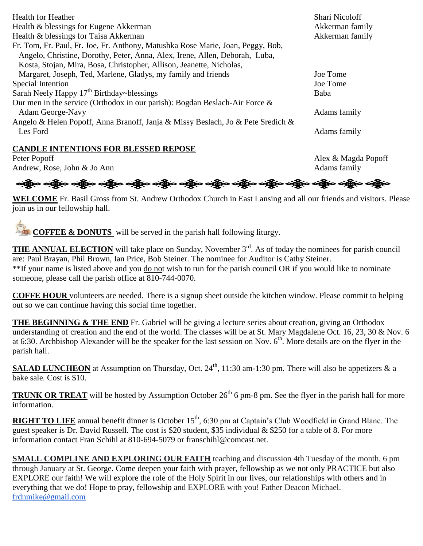| <b>Health for Heather</b><br>Health & blessings for Eugene Akkerman<br>Health & blessings for Taisa Akkerman<br>Fr. Tom, Fr. Paul, Fr. Joe, Fr. Anthony, Matushka Rose Marie, Joan, Peggy, Bob,<br>Angelo, Christine, Dorothy, Peter, Anna, Alex, Irene, Allen, Deborah, Luba, | <b>Shari Nicoloff</b><br>Akkerman family<br>Akkerman family |
|--------------------------------------------------------------------------------------------------------------------------------------------------------------------------------------------------------------------------------------------------------------------------------|-------------------------------------------------------------|
| Kosta, Stojan, Mira, Bosa, Christopher, Allison, Jeanette, Nicholas,<br>Margaret, Joseph, Ted, Marlene, Gladys, my family and friends                                                                                                                                          | Joe Tome                                                    |
| Special Intention                                                                                                                                                                                                                                                              | Joe Tome                                                    |
| Sarah Neely Happy 17 <sup>th</sup> Birthday~blessings                                                                                                                                                                                                                          | Baba                                                        |
| Our men in the service (Orthodox in our parish): Bogdan Beslach-Air Force $\&$<br>Adam George-Navy                                                                                                                                                                             | Adams family                                                |
| Angelo & Helen Popoff, Anna Branoff, Janja & Missy Beslach, Jo & Pete Sredich &<br>Les Ford                                                                                                                                                                                    | Adams family                                                |

#### **CANDLE INTENTIONS FOR BLESSED REPOSE**

Peter Popoff Alex & Magda Popoff Andrew, Rose, John & Jo Ann Adams family

းကြီးေ ခန္ကိုက ခန္ကြာေ ခန္ကြာေနာ္တြင္း ခန္ကြာေခန္ကြာေခန္ကြာေနရွိသည္ အိမ္ေရာက္မွာေခန္ကြာေနရွိသည့္ ေ

**WELCOME** Fr. Basil Gross from St. Andrew Orthodox Church in East Lansing and all our friends and visitors. Please join us in our fellowship hall.

**COFFEE & DONUTS** will be served in the parish hall following liturgy.

**THE ANNUAL ELECTION** will take place on Sunday, November 3<sup>rd</sup>. As of today the nominees for parish council are: Paul Brayan, Phil Brown, Ian Price, Bob Steiner. The nominee for Auditor is Cathy Steiner. \*\*If your name is listed above and you do not wish to run for the parish council OR if you would like to nominate someone, please call the parish office at 810-744-0070.

**COFFE HOUR** volunteers are needed. There is a signup sheet outside the kitchen window. Please commit to helping out so we can continue having this social time together.

**THE BEGINNING & THE END** Fr. Gabriel will be giving a lecture series about creation, giving an Orthodox understanding of creation and the end of the world. The classes will be at St. Mary Magdalene Oct. 16, 23, 30 & Nov. 6 at 6:30. Archbishop Alexander will be the speaker for the last session on Nov.  $6<sup>th</sup>$ . More details are on the flyer in the parish hall.

**SALAD LUNCHEON** at Assumption on Thursday, Oct. 24<sup>th</sup>, 11:30 am-1:30 pm. There will also be appetizers & a bake sale. Cost is \$10.

**TRUNK OR TREAT** will be hosted by Assumption October  $26<sup>th</sup> 6$  pm-8 pm. See the flyer in the parish hall for more information.

**RIGHT TO LIFE** annual benefit dinner is October 15<sup>th</sup>, 6:30 pm at Captain's Club Woodfield in Grand Blanc. The guest speaker is Dr. David Russell. The cost is \$20 student, \$35 individual & \$250 for a table of 8. For more information contact Fran Schihl at 810-694-5079 or franschihl@comcast.net.

**SMALL COMPLINE AND EXPLORING OUR FAITH** teaching and discussion 4th Tuesday of the month. 6 pm through January at St. George. Come deepen your faith with prayer, fellowship as we not only PRACTICE but also EXPLORE our faith! We will explore the role of the Holy Spirit in our lives, our relationships with others and in everything that we do! Hope to pray, fellowship and EXPLORE with you! Father Deacon Michael. [frdnmike@gmail.com](mailto:frdnmike@gmail.com)